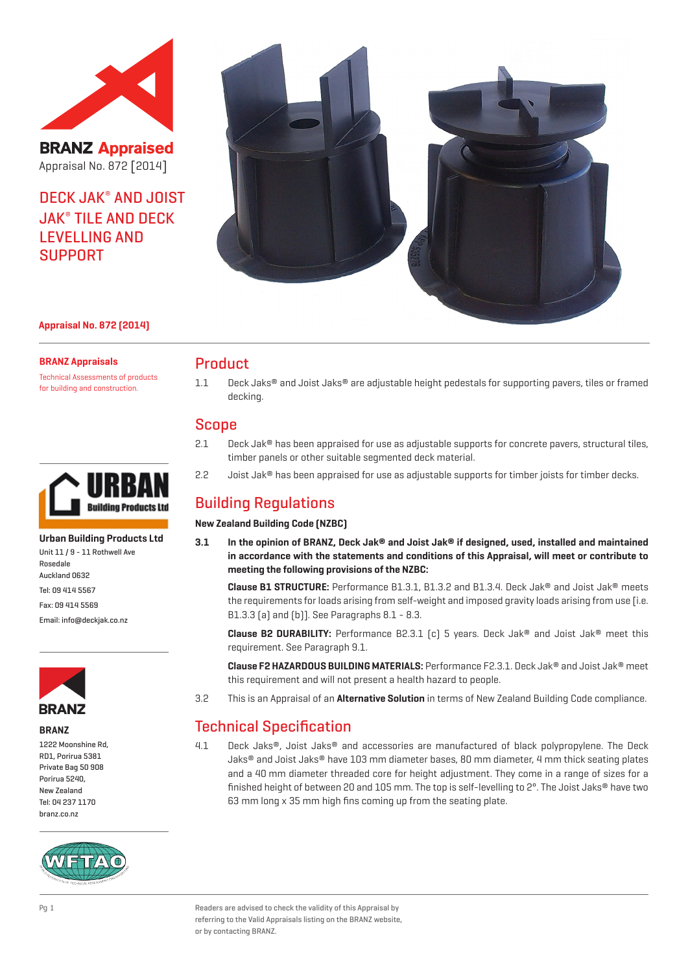

**BRANZ Appraised** Appraisal No. 872 [2014]

DECK JAK® AND JOIST JAK® TILE AND DECK LEVELLING AND SUPPORT



#### **Appraisal No. 872 (2014)**

#### **BRANZ Appraisals**

Technical Assessments of products for building and construction.



**Urban Building Products Ltd** Unit 11 / 9 - 11 Rothwell Ave Rosedale Auckland 0632 Tel: 09 414 5567 Fax: 09 414 5569 Email: info@deckjak.co.nz



#### **BRANZ**

1222 Moonshine Rd, RD1, Porirua 5381 Private Bag 50 908 Porirua 5240, New Zealand Tel: 04 237 1170 branz.co.nz



## Product

1.1 Deck Jaks® and Joist Jaks® are adjustable height pedestals for supporting pavers, tiles or framed decking.

## Scope

- 2.1 Deck Jak® has been appraised for use as adjustable supports for concrete pavers, structural tiles, timber panels or other suitable segmented deck material.
- 2.2 Joist Jak® has been appraised for use as adjustable supports for timber joists for timber decks.

# Building Regulations

**New Zealand Building Code (NZBC)**

**3.1 In the opinion of BRANZ, Deck Jak® and Joist Jak® if designed, used, installed and maintained in accordance with the statements and conditions of this Appraisal, will meet or contribute to meeting the following provisions of the NZBC:**

**Clause B1 STRUCTURE:** Performance B1.3.1, B1.3.2 and B1.3.4. Deck Jak® and Joist Jak® meets the requirements for loads arising from self-weight and imposed gravity loads arising from use [i.e. B1.3.3 (a) and (b)]. See Paragraphs 8.1 - 8.3.

**Clause B2 DURABILITY:** Performance B2.3.1 (c) 5 years. Deck Jak® and Joist Jak® meet this requirement. See Paragraph 9.1.

**Clause F2 HAZARDOUS BUILDING MATERIALS:** Performance F2.3.1. Deck Jak® and Joist Jak® meet this requirement and will not present a health hazard to people.

3.2 This is an Appraisal of an **Alternative Solution** in terms of New Zealand Building Code compliance.

# Technical Specification

4.1 Deck Jaks®, Joist Jaks® and accessories are manufactured of black polypropylene. The Deck Jaks® and Joist Jaks® have 103 mm diameter bases, 80 mm diameter, 4 mm thick seating plates and a 40 mm diameter threaded core for height adjustment. They come in a range of sizes for a finished height of between 20 and 105 mm. The top is self-levelling to 2°. The Joist Jaks® have two 63 mm long x 35 mm high fins coming up from the seating plate.

Pg 1 Readers are advised to check the validity of this Appraisal by referring to the Valid Appraisals listing on the BRANZ website, or by contacting BRANZ.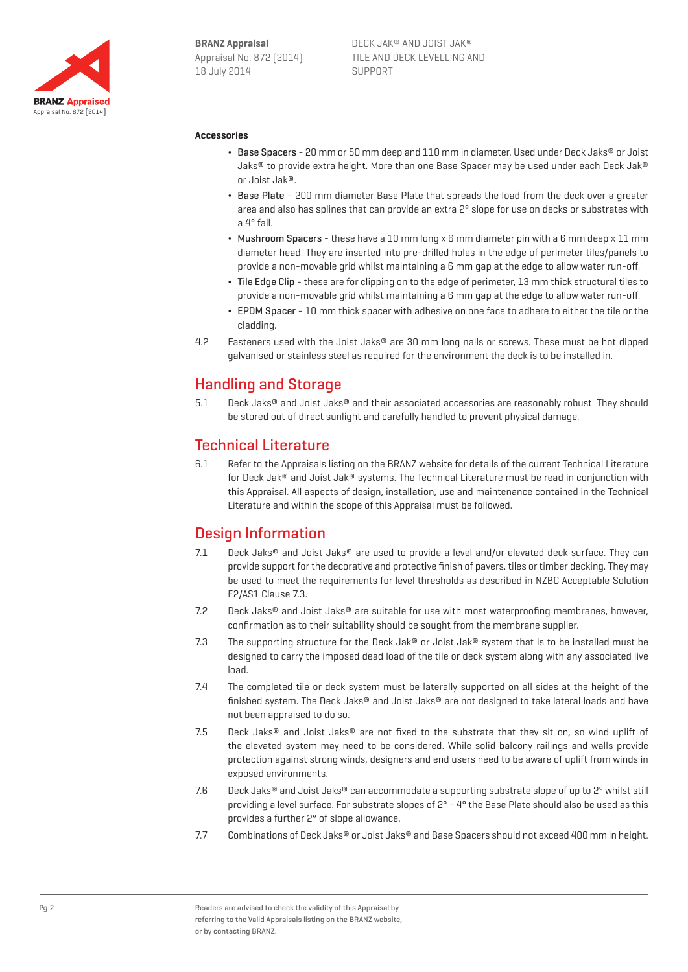

#### **Accessories**

- ¬ Base Spacers 20 mm or 50 mm deep and 110 mm in diameter. Used under Deck Jaks® or Joist Jaks® to provide extra height. More than one Base Spacer may be used under each Deck Jak® or Joist Jak®.
- ¬ Base Plate 200 mm diameter Base Plate that spreads the load from the deck over a greater area and also has splines that can provide an extra 2° slope for use on decks or substrates with a 4° fall.
- $\bullet$  Mushroom Spacers these have a 10 mm long x 6 mm diameter pin with a 6 mm deep x 11 mm diameter head. They are inserted into pre-drilled holes in the edge of perimeter tiles/panels to provide a non-movable grid whilst maintaining a 6 mm gap at the edge to allow water run-off.
- ¬ Tile Edge Clip these are for clipping on to the edge of perimeter, 13 mm thick structural tiles to provide a non-movable grid whilst maintaining a 6 mm gap at the edge to allow water run-off.
- ¬ EPDM Spacer 10 mm thick spacer with adhesive on one face to adhere to either the tile or the cladding.
- 4.2 Fasteners used with the Joist Jaks® are 30 mm long nails or screws. These must be hot dipped galvanised or stainless steel as required for the environment the deck is to be installed in.

# Handling and Storage

5.1 Deck Jaks® and Joist Jaks® and their associated accessories are reasonably robust. They should be stored out of direct sunlight and carefully handled to prevent physical damage.

# Technical Literature

6.1 Refer to the Appraisals listing on the BRANZ website for details of the current Technical Literature for Deck Jak® and Joist Jak® systems. The Technical Literature must be read in conjunction with this Appraisal. All aspects of design, installation, use and maintenance contained in the Technical Literature and within the scope of this Appraisal must be followed.

# Design Information

- 7.1 Deck Jaks® and Joist Jaks® are used to provide a level and/or elevated deck surface. They can provide support for the decorative and protective finish of pavers, tiles or timber decking. They may be used to meet the requirements for level thresholds as described in NZBC Acceptable Solution E2/AS1 Clause 7.3.
- 7.2 Deck Jaks® and Joist Jaks® are suitable for use with most waterproofing membranes, however, confirmation as to their suitability should be sought from the membrane supplier.
- 7.3 The supporting structure for the Deck Jak<sup>®</sup> or Joist Jak<sup>®</sup> system that is to be installed must be designed to carry the imposed dead load of the tile or deck system along with any associated live load.
- 7.4 The completed tile or deck system must be laterally supported on all sides at the height of the finished system. The Deck Jaks® and Joist Jaks® are not designed to take lateral loads and have not been appraised to do so.
- 7.5 Deck Jaks<sup>®</sup> and Joist Jaks<sup>®</sup> are not fixed to the substrate that they sit on, so wind uplift of the elevated system may need to be considered. While solid balcony railings and walls provide protection against strong winds, designers and end users need to be aware of uplift from winds in exposed environments.
- 7.6 Deck Jaks® and Joist Jaks® can accommodate a supporting substrate slope of up to 2° whilst still providing a level surface. For substrate slopes of 2° - 4° the Base Plate should also be used as this provides a further 2° of slope allowance.
- 7.7 Combinations of Deck Jaks® or Joist Jaks® and Base Spacers should not exceed 400 mm in height.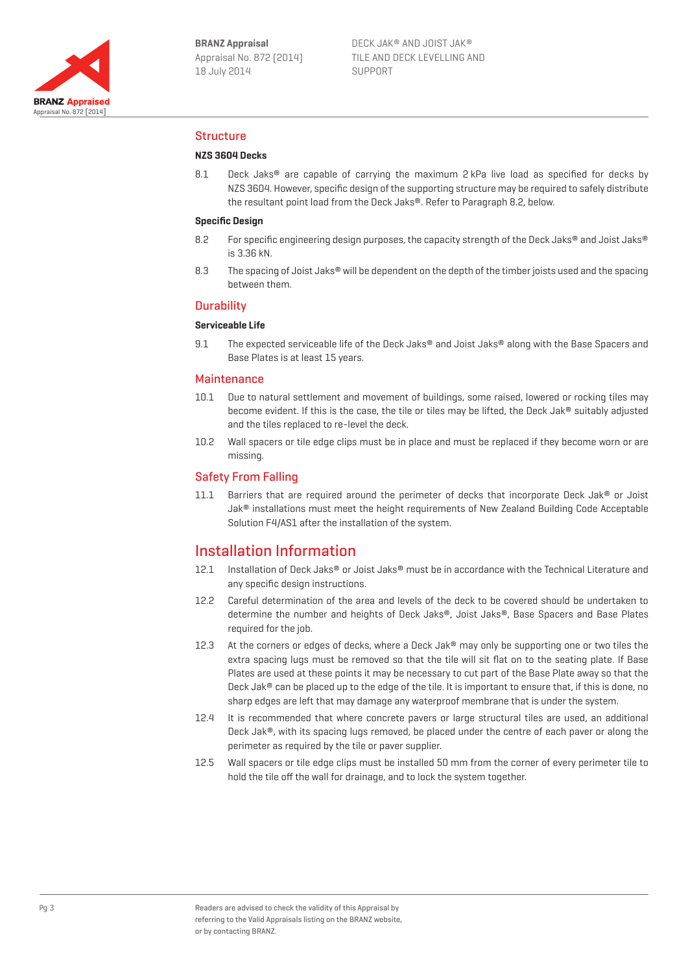

### Structure

#### **NZS 3604 Decks**

8.1 Deck Jaks® are capable of carrying the maximum 2 kPa live load as specified for decks by NZS 3604. However, specific design of the supporting structure may be required to safely distribute the resultant point load from the Deck Jaks®. Refer to Paragraph 8.2, below.

#### **Specific Design**

- 8.2 For specific engineering design purposes, the capacity strength of the Deck Jaks® and Joist Jaks® is 3.36 kN.
- 8.3 The spacing of Joist Jaks® will be dependent on the depth of the timber joists used and the spacing between them.

#### **Durability**

#### **Serviceable Life**

9.1 The expected serviceable life of the Deck Jaks® and Joist Jaks® along with the Base Spacers and Base Plates is at least 15 years.

#### **Maintenance**

- 10.1 Due to natural settlement and movement of buildings, some raised, lowered or rocking tiles may become evident. If this is the case, the tile or tiles may be lifted, the Deck Jak® suitably adjusted and the tiles replaced to re-level the deck.
- 10.2 Wall spacers or tile edge clips must be in place and must be replaced if they become worn or are missing.

### Safety From Falling

11.1 Barriers that are required around the perimeter of decks that incorporate Deck Jak® or Joist Jak® installations must meet the height requirements of New Zealand Building Code Acceptable Solution F4/AS1 after the installation of the system.

# Installation Information

- 12.1 Installation of Deck Jaks® or Joist Jaks® must be in accordance with the Technical Literature and any specific design instructions.
- 12.2 Careful determination of the area and levels of the deck to be covered should be undertaken to determine the number and heights of Deck Jaks®, Joist Jaks®, Base Spacers and Base Plates required for the job.
- 12.3 At the corners or edges of decks, where a Deck Jak® may only be supporting one or two tiles the extra spacing lugs must be removed so that the tile will sit flat on to the seating plate. If Base Plates are used at these points it may be necessary to cut part of the Base Plate away so that the Deck Jak® can be placed up to the edge of the tile. It is important to ensure that, if this is done, no sharp edges are left that may damage any waterproof membrane that is under the system.
- 12.4 It is recommended that where concrete pavers or large structural tiles are used, an additional Deck Jak®, with its spacing lugs removed, be placed under the centre of each paver or along the perimeter as required by the tile or paver supplier.
- 12.5 Wall spacers or tile edge clips must be installed 50 mm from the corner of every perimeter tile to hold the tile off the wall for drainage, and to lock the system together.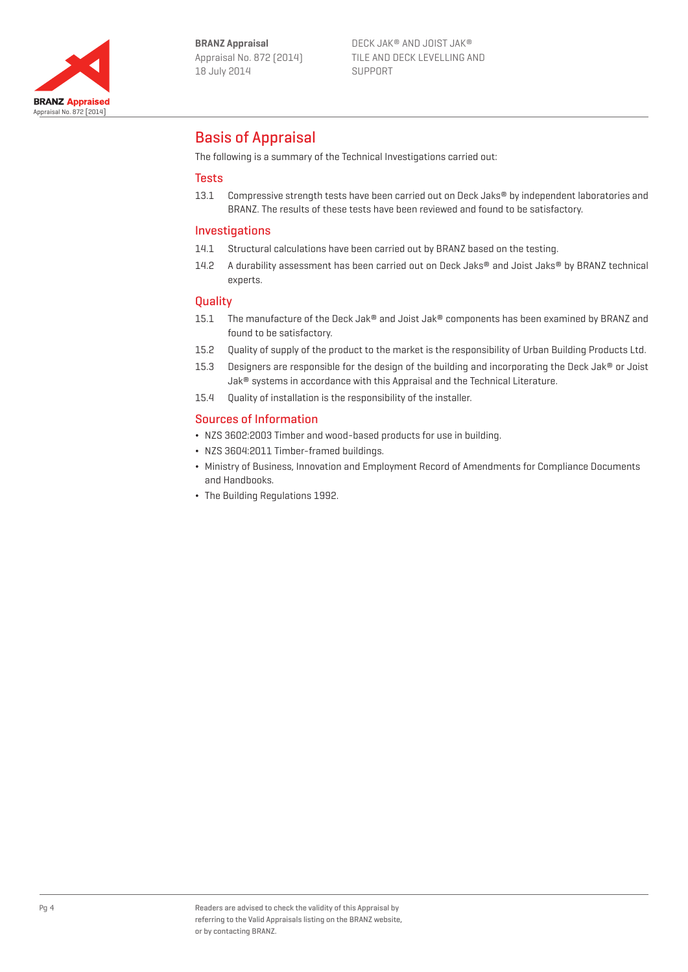

DECK JAK® AND JOIST JAK® TILE AND DECK LEVELLING AND SUPPORT

# Basis of Appraisal

The following is a summary of the Technical Investigations carried out:

### Tests

13.1 Compressive strength tests have been carried out on Deck Jaks® by independent laboratories and BRANZ. The results of these tests have been reviewed and found to be satisfactory.

### Investigations

- 14.1 Structural calculations have been carried out by BRANZ based on the testing.
- 14.2 A durability assessment has been carried out on Deck Jaks® and Joist Jaks® by BRANZ technical experts.

### **Quality**

- 15.1 The manufacture of the Deck Jak® and Joist Jak® components has been examined by BRANZ and found to be satisfactory.
- 15.2 Quality of supply of the product to the market is the responsibility of Urban Building Products Ltd.
- 15.3 Designers are responsible for the design of the building and incorporating the Deck Jak® or Joist Jak® systems in accordance with this Appraisal and the Technical Literature.
- 15.4 Quality of installation is the responsibility of the installer.

### Sources of Information

- ¬ NZS 3602:2003 Timber and wood-based products for use in building.
- ¬ NZS 3604:2011 Timber-framed buildings.
- ¬ Ministry of Business, Innovation and Employment Record of Amendments for Compliance Documents and Handbooks.
- ¬ The Building Regulations 1992.